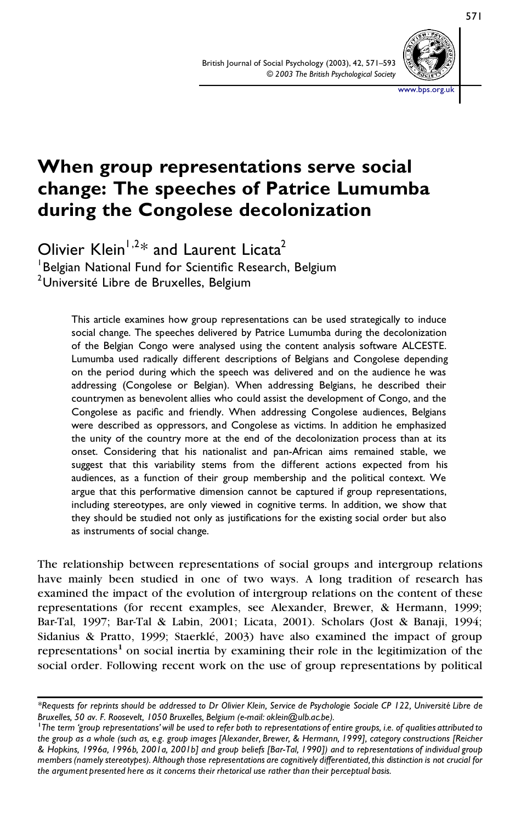

**When group representations serve social change: The speeches of Patrice Lumumba during the Congolese decolonization**

Olivier Klein<sup> $1,2$ \*</sup> and Laurent Licata<sup>2</sup>  ${}^{1}$ Belgian National Fund for Scientific Research, Belgium <sup>2</sup>Université Libre de Bruxelles, Belgium

> This article examines how group representations can be used strategically to induce social change. The speeches delivered by Patrice Lumumba during the decolonization of the Belgian Congo were analysed using the content analysis software ALCESTE. Lumumba used radically different descriptions of Belgians and Congolese depending on the period during which the speech was delivered and on the audience he was addressing (Congolese or Belgian). When addressing Belgians, he described their countrymen as benevolent allies who could assist the development of Congo, and the Congolese as pacific and friendly. When addressing Congolese audiences, Belgians were described as oppressors, and Congolese as victims. In addition he emphasized the unity of the country more at the end of the decolonization process than at its onset. Considering that his nationalist and pan-African aims remained stable, we suggest that this variability stems from the different actions expected from his audiences, as a function of their group membership and the political context. We argue that this performative dimension cannot be captured if group representations, including stereotypes, are only viewed in cognitive terms. In addition, we show that they should be studied not only as justifications for the existing social order but also as instruments of social change.

The relationship between representations of social groups and intergroup relations have mainly been studied in one of two ways. A long tradition of research has examined the impact of the evolution of intergroup relations on the content of these representations (for recent examples, see Alexander, Brewer, & Hermann, 1999; Bar-Tal, 1997; Bar-Tal & Labin, 2001; Licata, 2001). Scholars (Jost & Banaji, 1994; Sidanius & Pratto, 1999; Staerklé, 2003) have also examined the impact of group representations<sup>1</sup> on social inertia by examining their role in the legitimization of the social order. Following recent work on the use of group representations by political

<sup>\*</sup>Requests for reprints should be addressed to Dr Olivier Klein, Service de Psychologie Sociale CP 122, Université Libre de<br>Bruxelles, 50 av. F. Roosevelt, 1050 Bruxelles, Belgium (e-mail: oklein@ulb.ac.be).

<sup>&</sup>lt;sup>1</sup>The term 'group representations' will be used to refer both to representations of entire groups, i.e. of qualities attributed to the group as a whole (such as, e.g. group images [Alexander, Brewer, & Hermann, 1999], category constructions [Reicher & Hopkins, 1996a, 1996b, 2001a, 2001b] and group beliefs [Bar-Tal, 1990]) and to representations of individual group *members(namely stereotypes). Although those representations are cognitively differentiated,this distinction is not crucial for the argument presented here as it concerns their rhetorical use rather than their perceptual basis.*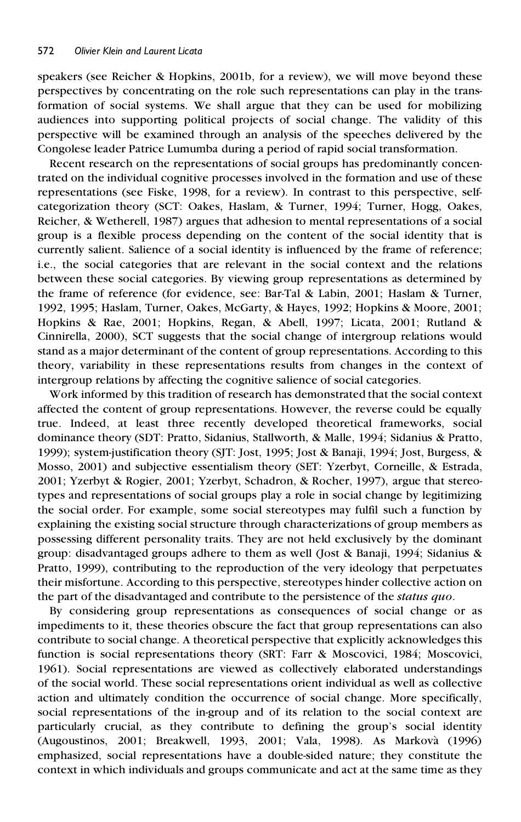speakers (see Reicher & Hopkins, 2001b, for a review), we will move beyond these perspectives by concentrating on the role such representations can play in the transformation of social systems. We shall argue that they can be used for mobilizing audiences into supporting political projects of social change. The validity of this perspective will be examined through an analysis of the speeches delivered by the Congolese leader Patrice Lumumba during a period of rapid social transformation.

Recent research on the representations of social groups has predominantly concentrated on the individual cognitive processes involved in the formation and use of these representations (see Fiske, 1998, for a review). In contrast to this perspective, selfcategorization theory (SCT: Oakes, Haslam, & Turner, 1994; Turner, Hogg, Oakes, Reicher, & Wetherell, 1987) argues that adhesion to mental representations of a social group is a flexible process depending on the content of the social identity that is currently salient. Salience of a social identity is influenced by the frame of reference; i.e., the social categories that are relevant in the social context and the relations between these social categories. By viewing group representations as determined by the frame of reference (for evidence, see: Bar-Tal & Labin, 2001; Haslam & Turner, 1992, 1995; Haslam, Turner, Oakes, McGarty, & Hayes, 1992; Hopkins & Moore, 2001; Hopkins & Rae, 2001; Hopkins, Regan, & Abell, 1997; Licata, 2001; Rutland & Cinnirella, 2000), SCT suggests that the social change of intergroup relations would stand as a major determinant of the content of group representations. According to this theory, variability in these representations results from changes in the context of intergroup relations by affecting the cognitive salience of social categories.

Work informed by this tradition of research has demonstrated that the social context affected the content of group representations. However, the reverse could be equally true. Indeed, at least three recently developed theoretical frameworks, social dominance theory (SDT: Pratto, Sidanius, Stallworth, & Malle, 1994; Sidanius & Pratto, 1999); system-justification theory (SJT: Jost, 1995; Jost & Banaji, 1994; Jost, Burgess, & Mosso, 2001) and subjective essentialism theory (SET: Yzerbyt, Corneille, & Estrada, 2001; Yzerbyt & Rogier, 2001; Yzerbyt, Schadron, & Rocher, 1997), argue that stereotypes and representations of social groups play a role in social change by legitimizing the social order. For example, some social stereotypes may fulfil such a function by explaining the existing social structure through characterizations of group members as possessing different personality traits. They are not held exclusively by the dominant group: disadvantaged groups adhere to them as well (Jost & Banaji, 1994; Sidanius & Pratto, 1999), contributing to the reproduction of the very ideology that perpetuates their misfortune. According to this perspective, stereotypes hinder collective action on the part of the disadvantaged and contribute to the persistence of the *status quo*.

By considering group representations as consequences of social change or as impediments to it, these theories obscure the fact that group representations can also contribute to social change. A theoretical perspective that explicitly acknowledges this function is social representations theory (SRT: Farr & Moscovici, 1984; Moscovici, 1961). Social representations are viewed as collectively elaborated understandings of the social world. These social representations orient individual as well as collective action and ultimately condition the occurrence of social change. More specifically, social representations of the in-group and of its relation to the social context are particularly crucial, as they contribute to defining the group's social identity (Augoustinos, 2001; Breakwell, 1993, 2001; Vala, 1998). As Markova` (1996) emphasized, social representations have a double-sided nature; they constitute the context in which individuals and groups communicate and act at the same time as they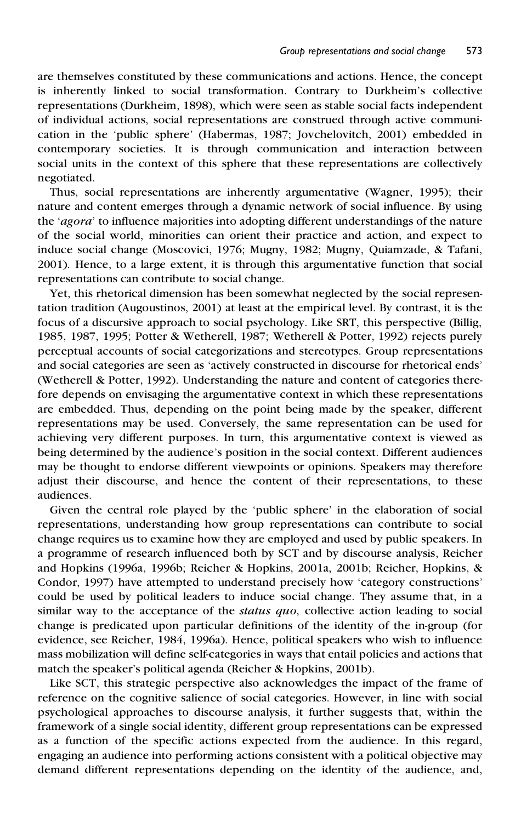are themselves constituted by these communications and actions. Hence, the concept is inherently linked to social transformation. Contrary to Durkheim's collective representations (Durkheim, 1898), which were seen as stable social facts independent of individual actions, social representations are construed through active communication in the 'public sphere' (Habermas, 1987; Jovchelovitch, 2001) embedded in contemporary societies. It is through communication and interaction between social units in the context of this sphere that these representations are collectively negotiated.

Thus, social representations are inherently argumentative (Wagner, 1995); their nature and content emerges through a dynamic network of social influence. By using the '*agora*' to influence majorities into adopting different understandings of the nature of the social world, minorities can orient their practice and action, and expect to induce social change (Moscovici, 1976; Mugny, 1982; Mugny, Quiamzade, & Tafani, 2001). Hence, to a large extent, it is through this argumentative function that social representations can contribute to social change.

Yet, this rhetorical dimension has been somewhat neglected by the social representation tradition (Augoustinos, 2001) at least at the empirical level. By contrast, it is the focus of a discursive approach to social psychology. Like SRT, this perspective (Billig, 1985, 1987, 1995; Potter & Wetherell, 1987; Wetherell & Potter, 1992) rejects purely perceptual accounts of social categorizations and stereotypes. Group representations and social categories are seen as 'actively constructed in discourse for rhetorical ends' (Wetherell & Potter, 1992). Understanding the nature and content of categories therefore depends on envisaging the argumentative context in which these representations are embedded. Thus, depending on the point being made by the speaker, different representations may be used. Conversely, the same representation can be used for achieving very different purposes. In turn, this argumentative context is viewed as being determined by the audience's position in the social context. Different audiences may be thought to endorse different viewpoints or opinions. Speakers may therefore adjust their discourse, and hence the content of their representations, to these audiences.

Given the central role played by the 'public sphere' in the elaboration of social representations, understanding how group representations can contribute to social change requires us to examine how they are employed and used by public speakers. In a programme of research influenced both by SCT and by discourse analysis, Reicher and Hopkins (1996a, 1996b; Reicher & Hopkins, 2001a, 2001b; Reicher, Hopkins, & Condor, 1997) have attempted to understand precisely how 'category constructions' could be used by political leaders to induce social change. They assume that, in a similar way to the acceptance of the *status quo*, collective action leading to social change is predicated upon particular definitions of the identity of the in-group (for evidence, see Reicher, 1984, 1996a). Hence, political speakers who wish to influence mass mobilization will define self-categories in ways that entail policies and actions that match the speaker's political agenda (Reicher & Hopkins, 2001b).

Like SCT, this strategic perspective also acknowledges the impact of the frame of reference on the cognitive salience of social categories. However, in line with social psychological approaches to discourse analysis, it further suggests that, within the framework of a single social identity, different group representations can be expressed as a function of the specific actions expected from the audience. In this regard, engaging an audience into performing actions consistent with a political objective may demand different representations depending on the identity of the audience, and,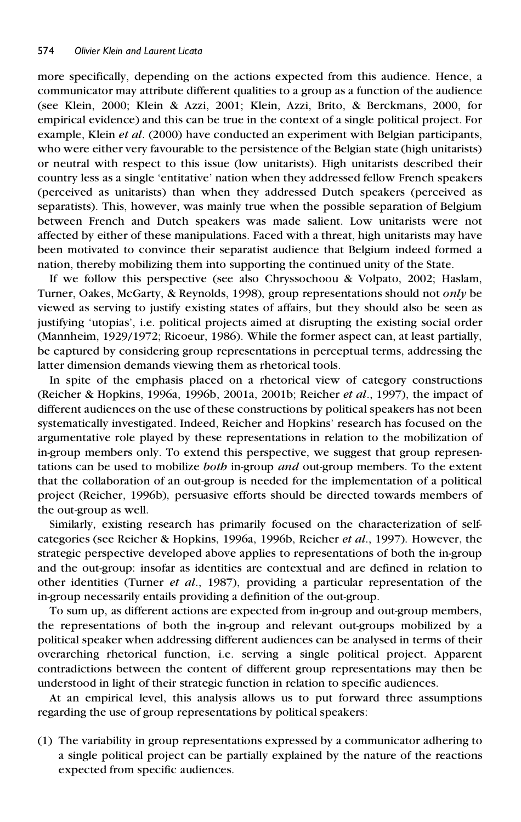more specifically, depending on the actions expected from this audience. Hence, a communicator may attribute different qualities to a group as a function of the audience (see Klein, 2000; Klein & Azzi, 2001; Klein, Azzi, Brito, & Berckmans, 2000, for empirical evidence) and this can be true in the context of a single political project. For example, Klein *et al*. (2000) have conducted an experiment with Belgian participants, who were either very favourable to the persistence of the Belgian state (high unitarists) or neutral with respect to this issue (low unitarists). High unitarists described their country less as a single 'entitative' nation when they addressed fellow French speakers (perceived as unitarists) than when they addressed Dutch speakers (perceived as separatists). This, however, was mainly true when the possible separation of Belgium between French and Dutch speakers was made salient. Low unitarists were not affected by either of these manipulations. Faced with a threat, high unitarists may have been motivated to convince their separatist audience that Belgium indeed formed a nation, thereby mobilizing them into supporting the continued unity of the State.

If we follow this perspective (see also Chryssochoou & Volpato, 2002; Haslam, Turner, Oakes, McGarty, & Reynolds, 1998), group representations should not *only* be viewed as serving to justify existing states of affairs, but they should also be seen as justifying 'utopias', i.e. political projects aimed at disrupting the existing social order (Mannheim, 1929/1972; Ricoeur, 1986). While the former aspect can, at least partially, be captured by considering group representations in perceptual terms, addressing the latter dimension demands viewing them as rhetorical tools.

In spite of the emphasis placed on a rhetorical view of category constructions (Reicher & Hopkins, 1996a, 1996b, 2001a, 2001b; Reicher *et al*., 1997), the impact of different audiences on the use of these constructions by political speakers has not been systematically investigated. Indeed, Reicher and Hopkins' research has focused on the argumentative role played by these representations in relation to the mobilization of in-group members only. To extend this perspective, we suggest that group representations can be used to mobilize *both* in-group *and* out-group members. To the extent that the collaboration of an out-group is needed for the implementation of a political project (Reicher, 1996b), persuasive efforts should be directed towards members of the out-group as well.

Similarly, existing research has primarily focused on the characterization of selfcategories (see Reicher & Hopkins, 1996a, 1996b, Reicher *et al*., 1997). However, the strategic perspective developed above applies to representations of both the in-group and the out-group: insofar as identities are contextual and are defined in relation to other identities (Turner *et al*., 1987), providing a particular representation of the in-group necessarily entails providing a definition of the out-group.

To sum up, as different actions are expected from in-group and out-group members, the representations of both the in-group and relevant out-groups mobilized by a political speaker when addressing different audiences can be analysed in terms of their overarching rhetorical function, i.e. serving a single political project. Apparent contradictions between the content of different group representations may then be understood in light of their strategic function in relation to specific audiences.

At an empirical level, this analysis allows us to put forward three assumptions regarding the use of group representations by political speakers:

(1) The variability in group representations expressed by a communicator adhering to a single political project can be partially explained by the nature of the reactions expected from specific audiences.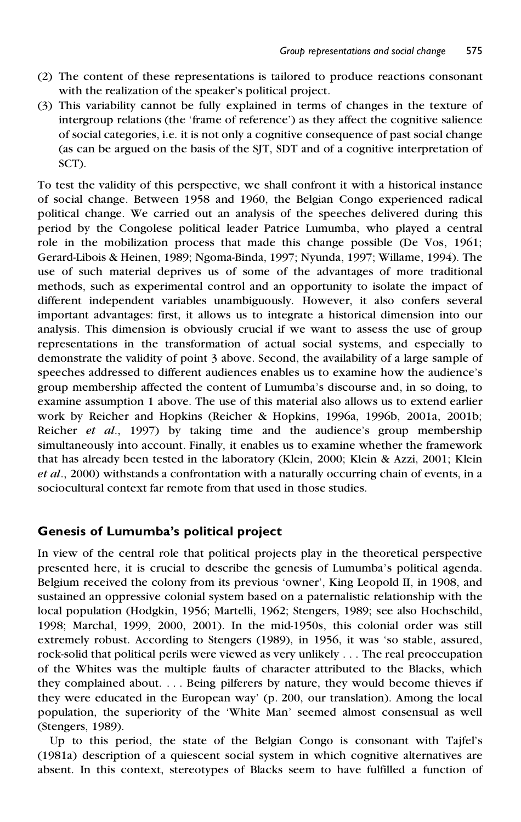- (2) The content of these representations is tailored to produce reactions consonant with the realization of the speaker's political project.
- (3) This variability cannot be fully explained in terms of changes in the texture of intergroup relations (the 'frame of reference') as they affect the cognitive salience of social categories, i.e. it is not only a cognitive consequence of past social change (as can be argued on the basis of the SJT, SDT and of a cognitive interpretation of SCT).

To test the validity of this perspective, we shall confront it with a historical instance of social change. Between 1958 and 1960, the Belgian Congo experienced radical political change. We carried out an analysis of the speeches delivered during this period by the Congolese political leader Patrice Lumumba, who played a central role in the mobilization process that made this change possible (De Vos, 1961; Gerard-Libois & Heinen, 1989; Ngoma-Binda, 1997; Nyunda, 1997; Willame, 1994). The use of such material deprives us of some of the advantages of more traditional methods, such as experimental control and an opportunity to isolate the impact of different independent variables unambiguously. However, it also confers several important advantages: first, it allows us to integrate a historical dimension into our analysis. This dimension is obviously crucial if we want to assess the use of group representations in the transformation of actual social systems, and especially to demonstrate the validity of point 3 above. Second, the availability of a large sample of speeches addressed to different audiences enables us to examine how the audience's group membership affected the content of Lumumba's discourse and, in so doing, to examine assumption 1 above. The use of this material also allows us to extend earlier work by Reicher and Hopkins (Reicher & Hopkins, 1996a, 1996b, 2001a, 2001b; Reicher *et al*., 1997) by taking time and the audience's group membership simultaneously into account. Finally, it enables us to examine whether the framework that has already been tested in the laboratory (Klein, 2000; Klein & Azzi, 2001; Klein *et al*., 2000) withstands a confrontation with a naturally occurring chain of events, in a sociocultural context far remote from that used in those studies.

## **Genesis of Lumumba's political project**

In view of the central role that political projects play in the theoretical perspective presented here, it is crucial to describe the genesis of Lumumba's political agenda. Belgium received the colony from its previous 'owner', King Leopold II, in 1908, and sustained an oppressive colonial system based on a paternalistic relationship with the local population (Hodgkin, 1956; Martelli, 1962; Stengers, 1989; see also Hochschild, 1998; Marchal, 1999, 2000, 2001). In the mid-1950s, this colonial order was still extremely robust. According to Stengers (1989), in 1956, it was 'so stable, assured, rock-solid that political perils were viewed as very unlikely . . . The real preoccupation of the Whites was the multiple faults of character attributed to the Blacks, which they complained about. . . . Being pilferers by nature, they would become thieves if they were educated in the European way' (p. 200, our translation). Among the local population, the superiority of the 'White Man' seemed almost consensual as well (Stengers, 1989).

Up to this period, the state of the Belgian Congo is consonant with Tajfel's (1981a) description of a quiescent social system in which cognitive alternatives are absent. In this context, stereotypes of Blacks seem to have fulfilled a function of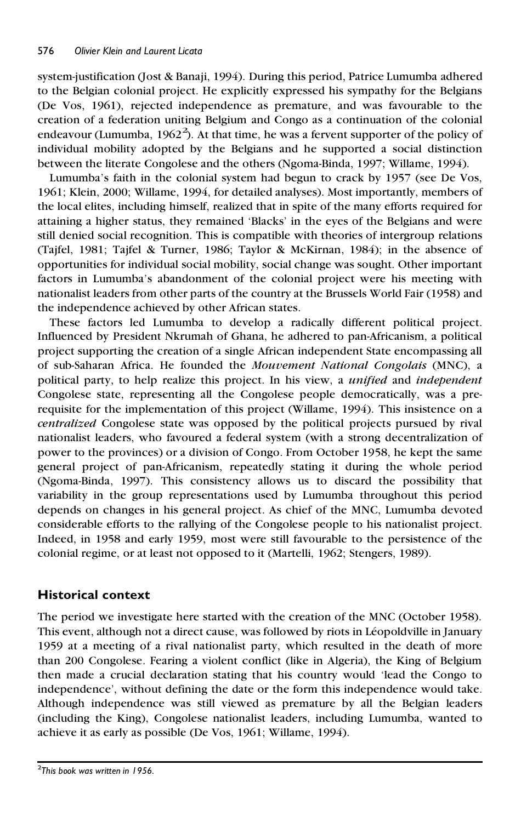system-justification (Jost & Banaji, 1994). During this period, Patrice Lumumba adhered to the Belgian colonial project. He explicitly expressed his sympathy for the Belgians (De Vos, 1961), rejected independence as premature, and was favourable to the creation of a federation uniting Belgium and Congo as a continuation of the colonial endeavour (Lumumba,  $1962^2$ ). At that time, he was a fervent supporter of the policy of individual mobility adopted by the Belgians and he supported a social distinction between the literate Congolese and the others (Ngoma-Binda, 1997; Willame, 1994).

Lumumba's faith in the colonial system had begun to crack by 1957 (see De Vos, 1961; Klein, 2000; Willame, 1994, for detailed analyses). Most importantly, members of the local elites, including himself, realized that in spite of the many efforts required for attaining a higher status, they remained 'Blacks' in the eyes of the Belgians and were still denied social recognition. This is compatible with theories of intergroup relations (Tajfel, 1981; Tajfel & Turner, 1986; Taylor & McKirnan, 1984); in the absence of opportunities for individual social mobility, social change was sought. Other important factors in Lumumba's abandonment of the colonial project were his meeting with nationalist leaders from other parts of the country at the Brussels World Fair (1958) and the independence achieved by other African states.

These factors led Lumumba to develop a radically different political project. Influenced by President Nkrumah of Ghana, he adhered to pan-Africanism, a political project supporting the creation of a single African independent State encompassing all of sub-Saharan Africa. He founded the *Mouvement National Congolais* (MNC), a political party, to help realize this project. In his view, a *unified* and *independent* Congolese state, representing all the Congolese people democratically, was a prerequisite for the implementation of this project (Willame, 1994). This insistence on a *centralized* Congolese state was opposed by the political projects pursued by rival nationalist leaders, who favoured a federal system (with a strong decentralization of power to the provinces) or a division of Congo. From October 1958, he kept the same general project of pan-Africanism, repeatedly stating it during the whole period (Ngoma-Binda, 1997). This consistency allows us to discard the possibility that variability in the group representations used by Lumumba throughout this period depends on changes in his general project. As chief of the MNC, Lumumba devoted considerable efforts to the rallying of the Congolese people to his nationalist project. Indeed, in 1958 and early 1959, most were still favourable to the persistence of the colonial regime, or at least not opposed to it (Martelli, 1962; Stengers, 1989).

# **Historical context**

The period we investigate here started with the creation of the MNC (October 1958). This event, although not a direct cause, was followed by riots in Léopoldville in January 1959 at a meeting of a rival nationalist party, which resulted in the death of more than 200 Congolese. Fearing a violent conflict (like in Algeria), the King of Belgium then made a crucial declaration stating that his country would 'lead the Congo to independence', without defining the date or the form this independence would take. Although independence was still viewed as premature by all the Belgian leaders (including the King), Congolese nationalist leaders, including Lumumba, wanted to achieve it as early as possible (De Vos, 1961; Willame, 1994).

<sup>2</sup>*This book was written in 1956.*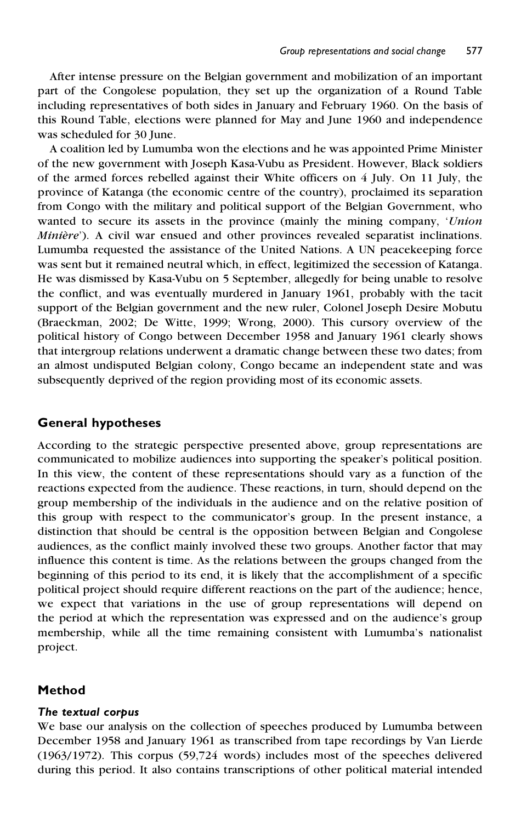After intense pressure on the Belgian government and mobilization of an important part of the Congolese population, they set up the organization of a Round Table including representatives of both sides in January and February 1960. On the basis of this Round Table, elections were planned for May and June 1960 and independence was scheduled for 30 June.

A coalition led by Lumumba won the elections and he was appointed Prime Minister of the new government with Joseph Kasa-Vubu as President. However, Black soldiers of the armed forces rebelled against their White officers on 4 July. On 11 July, the province of Katanga (the economic centre of the country), proclaimed its separation from Congo with the military and political support of the Belgian Government, who wanted to secure its assets in the province (mainly the mining company, '*Union Minière*'). A civil war ensued and other provinces revealed separatist inclinations. Lumumba requested the assistance of the United Nations. A UN peacekeeping force was sent but it remained neutral which, in effect, legitimized the secession of Katanga. He was dismissed by Kasa-Vubu on 5 September, allegedly for being unable to resolve the conflict, and was eventually murdered in January 1961, probably with the tacit support of the Belgian government and the new ruler, Colonel Joseph Desire Mobutu (Braeckman, 2002; De Witte, 1999; Wrong, 2000). This cursory overview of the political history of Congo between December 1958 and January 1961 clearly shows that intergroup relations underwent a dramatic change between these two dates; from an almost undisputed Belgian colony, Congo became an independent state and was subsequently deprived of the region providing most of its economic assets.

# **General hypotheses**

According to the strategic perspective presented above, group representations are communicated to mobilize audiences into supporting the speaker's political position. In this view, the content of these representations should vary as a function of the reactions expected from the audience. These reactions, in turn, should depend on the group membership of the individuals in the audience and on the relative position of this group with respect to the communicator's group. In the present instance, a distinction that should be central is the opposition between Belgian and Congolese audiences, as the conflict mainly involved these two groups. Another factor that may influence this content is time. As the relations between the groups changed from the beginning of this period to its end, it is likely that the accomplishment of a specific political project should require different reactions on the part of the audience; hence, we expect that variations in the use of group representations will depend on the period at which the representation was expressed and on the audience's group membership, while all the time remaining consistent with Lumumba's nationalist project.

## **Method**

#### *The textual corpus*

We base our analysis on the collection of speeches produced by Lumumba between December 1958 and January 1961 as transcribed from tape recordings by Van Lierde (1963/1972). This corpus (59,724 words) includes most of the speeches delivered during this period. It also contains transcriptions of other political material intended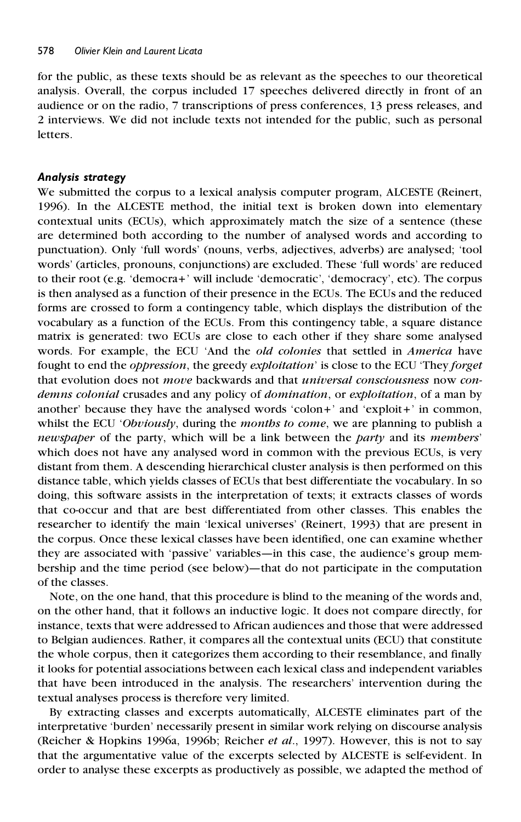for the public, as these texts should be as relevant as the speeches to our theoretical analysis. Overall, the corpus included 17 speeches delivered directly in front of an audience or on the radio, 7 transcriptions of press conferences, 13 press releases, and 2 interviews. We did not include texts not intended for the public, such as personal letters.

### *Analysis strategy*

We submitted the corpus to a lexical analysis computer program, ALCESTE (Reinert, 1996). In the ALCESTE method, the initial text is broken down into elementary contextual units (ECUs), which approximately match the size of a sentence (these are determined both according to the number of analysed words and according to punctuation). Only 'full words' (nouns, verbs, adjectives, adverbs) are analysed; 'tool words' (articles, pronouns, conjunctions) are excluded. These 'full words' are reduced to their root (e.g. 'democra+' will include 'democratic', 'democracy', etc). The corpus is then analysed as a function of their presence in the ECUs. The ECUs and the reduced forms are crossed to form a contingency table, which displays the distribution of the vocabulary as a function of the ECUs. From this contingency table, a square distance matrix is generated: two ECUs are close to each other if they share some analysed words. For example, the ECU 'And the *old colonies* that settled in *America* have fought to end the *oppression*, the greedy *exploitation*' is close to the ECU 'They *forget* that evolution does not *move* backwards and that *universal consciousness* now *condemns colonial* crusades and any policy of *domination*, or *exploitation*, of a man by another' because they have the analysed words 'colon+' and 'exploit+' in common, whilst the ECU '*Obviously*, during the *months to come*, we are planning to publish a *newspaper* of the party, which will be a link between the *party* and its *members*' which does not have any analysed word in common with the previous ECUs, is very distant from them. A descending hierarchical cluster analysis is then performed on this distance table, which yields classes of ECUs that best differentiate the vocabulary. In so doing, this software assists in the interpretation of texts; it extracts classes of words that co-occur and that are best differentiated from other classes. This enables the researcher to identify the main 'lexical universes' (Reinert, 1993) that are present in the corpus. Once these lexical classes have been identified, one can examine whether they are associated with 'passive' variables—in this case, the audience's group membership and the time period (see below)—that do not participate in the computation of the classes.

Note, on the one hand, that this procedure is blind to the meaning of the words and, on the other hand, that it follows an inductive logic. It does not compare directly, for instance, texts that were addressed to African audiences and those that were addressed to Belgian audiences. Rather, it compares all the contextual units (ECU) that constitute the whole corpus, then it categorizes them according to their resemblance, and finally it looks for potential associations between each lexical class and independent variables that have been introduced in the analysis. The researchers' intervention during the textual analyses process is therefore very limited.

By extracting classes and excerpts automatically, ALCESTE eliminates part of the interpretative 'burden' necessarily present in similar work relying on discourse analysis (Reicher & Hopkins 1996a, 1996b; Reicher *et al*., 1997). However, this is not to say that the argumentative value of the excerpts selected by ALCESTE is self-evident. In order to analyse these excerpts as productively as possible, we adapted the method of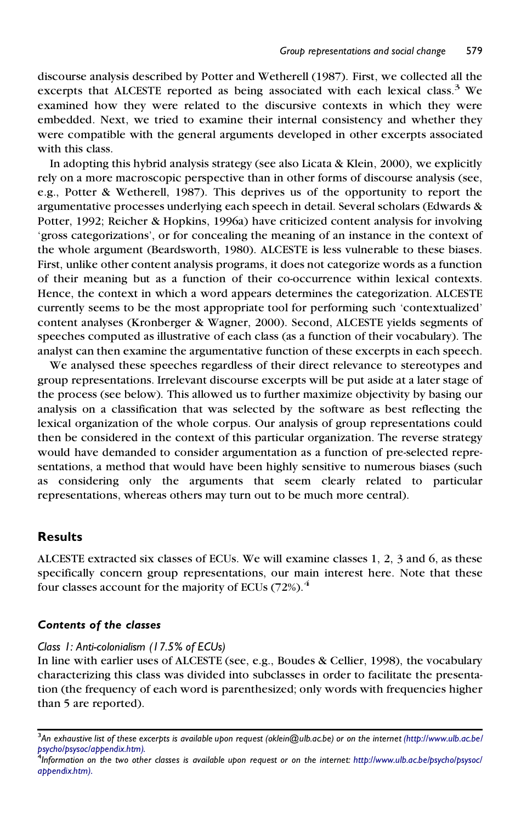discourse analysis described by Potter and Wetherell (1987). First, we collected all the excerpts that ALCESTE reported as being associated with each lexical class.<sup>3</sup> We examined how they were related to the discursive contexts in which they were embedded. Next, we tried to examine their internal consistency and whether they were compatible with the general arguments developed in other excerpts associated with this class.

In adopting this hybrid analysis strategy (see also Licata & Klein, 2000), we explicitly rely on a more macroscopic perspective than in other forms of discourse analysis (see, e.g., Potter & Wetherell, 1987). This deprives us of the opportunity to report the argumentative processes underlying each speech in detail. Several scholars (Edwards & Potter, 1992; Reicher & Hopkins, 1996a) have criticized content analysis for involving 'gross categorizations', or for concealing the meaning of an instance in the context of the whole argument (Beardsworth, 1980). ALCESTE is less vulnerable to these biases. First, unlike other content analysis programs, it does not categorize words as a function of their meaning but as a function of their co-occurrence within lexical contexts. Hence, the context in which a word appears determines the categorization. ALCESTE currently seems to be the most appropriate tool for performing such 'contextualized' content analyses (Kronberger & Wagner, 2000). Second, ALCESTE yields segments of speeches computed as illustrative of each class (as a function of their vocabulary). The analyst can then examine the argumentative function of these excerpts in each speech.

We analysed these speeches regardless of their direct relevance to stereotypes and group representations. Irrelevant discourse excerpts will be put aside at a later stage of the process (see below). This allowed us to further maximize objectivity by basing our analysis on a classification that was selected by the software as best reflecting the lexical organization of the whole corpus. Our analysis of group representations could then be considered in the context of this particular organization. The reverse strategy would have demanded to consider argumentation as a function of pre-selected representations, a method that would have been highly sensitive to numerous biases (such as considering only the arguments that seem clearly related to particular representations, whereas others may turn out to be much more central).

## **Results**

ALCESTE extracted six classes of ECUs. We will examine classes 1, 2, 3 and 6, as these specifically concern group representations, our main interest here. Note that these four classes account for the majority of ECUs  $(72%)$ .<sup>4</sup>

#### *Contents of the classes*

#### *Class 1: Anti-colonialism (17.5% of ECUs)*

In line with earlier uses of ALCESTE (see, e.g., Boudes & Cellier, 1998), the vocabulary characterizing this class was divided into subclasses in order to facilitate the presentation (the frequency of each word is parenthesized; only words with frequencies higher than 5 are reported).

<sup>&</sup>lt;sup>3</sup>An exhaustive list of these excerpts is available upon request (oklein@ulb.ac.be) or on the internet [\(http://www.ulb.ac.be/](http://www.ulb.ac.be/psycho/psysoc/appendix.htm) [psycho/psysoc/appendix.htm\).](http://www.ulb.ac.be/psycho/psysoc/appendix.htm)<br><sup>4</sup>Information on the two other classes is available upon request or on the internet: [http://www.ulb.ac.be/psycho/psysoc/](http://www.ulb.ac.be/psycho/psysoc/appendix.htm)

*[appendix.htm\).](http://www.ulb.ac.be/psycho/psysoc/appendix.htm)*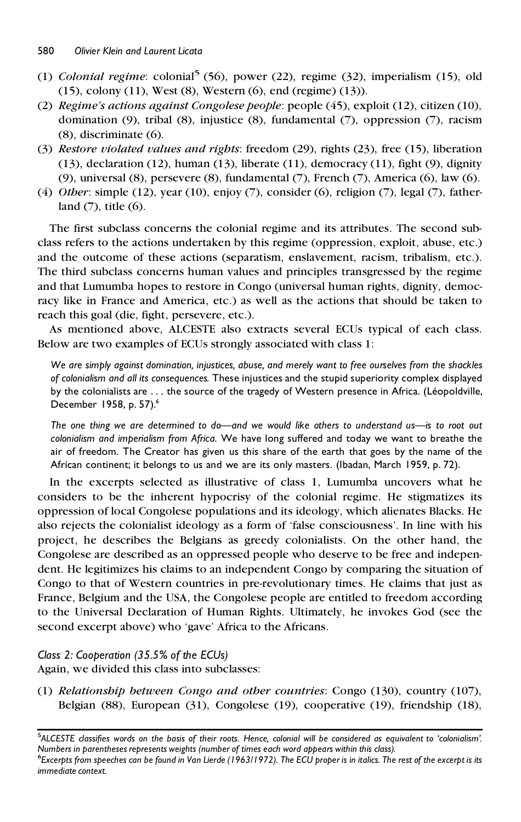- (1) *Colonial regime*: colonial<sup>5</sup> (56), power (22), regime (32), imperialism (15), old (15), colony (11), West (8), Western (6), end (regime) (13)).
- (2) *Regime's actions against Congolese people*: people (45), exploit (12), citizen (10), domination (9), tribal (8), injustice (8), fundamental (7), oppression (7), racism (8), discriminate (6).
- (3) *Restore violated values and rights*: freedom (29), rights (23), free (15), liberation (13), declaration (12), human (13), liberate (11), democracy (11), fight (9), dignity (9), universal (8), persevere (8), fundamental (7), French (7), America (6), law (6).
- (4) *Other*: simple (12), year (10), enjoy (7), consider (6), religion (7), legal (7), fatherland  $(7)$ , title  $(6)$ .

The first subclass concerns the colonial regime and its attributes. The second subclass refers to the actions undertaken by this regime (oppression, exploit, abuse, etc.) and the outcome of these actions (separatism, enslavement, racism, tribalism, etc.). The third subclass concerns human values and principles transgressed by the regime and that Lumumba hopes to restore in Congo (universal human rights, dignity, democracy like in France and America, etc.) as well as the actions that should be taken to reach this goal (die, fight, persevere, etc.).

As mentioned above, ALCESTE also extracts several ECUs typical of each class. Below are two examples of ECUs strongly associated with class 1:

*We are simply against domination, injustices, abuse, and merely want to free ourselves from the shackles of colonialism and all its consequences*. These injustices and the stupid superiority complex displayed by the colonialists are ... the source of the tragedy of Western presence in Africa. (Léopoldville, December 1958, p. 57).<sup>6</sup>

*The one thing we are determined to do—and we would like others to understand us—is to root out colonialism and imperialism from Africa*. We have long suffered and today we want to breathe the air of freedom. The Creator has given us this share of the earth that goes by the name of the African continent; it belongs to us and we are its only masters. (Ibadan, March 1959, p. 72).

In the excerpts selected as illustrative of class 1, Lumumba uncovers what he considers to be the inherent hypocrisy of the colonial regime. He stigmatizes its oppression of local Congolese populations and its ideology, which alienates Blacks. He also rejects the colonialist ideology as a form of 'false consciousness'. In line with his project, he describes the Belgians as greedy colonialists. On the other hand, the Congolese are described as an oppressed people who deserve to be free and independent. He legitimizes his claims to an independent Congo by comparing the situation of Congo to that of Western countries in pre-revolutionary times. He claims that just as France, Belgium and the USA, the Congolese people are entitled to freedom according to the Universal Declaration of Human Rights. Ultimately, he invokes God (see the second excerpt above) who 'gave' Africa to the Africans.

## *Class 2: Cooperation (35.5% of the ECUs)*

Again, we divided this class into subclasses:

(1) *Relationship between Congo and other countries*: Congo (130), country (107), Belgian (88), European (31), Congolese (19), cooperative (19), friendship (18),

<sup>5</sup>ALCESTE dassifies words on the basis of their roots. Hence, colonial will be considered as equivalent to 'colonialism'. Numbers in parentheses represents weights (number of times each word appears within this class).<br><sup>6</sup>Excerpts from speeches can be found in Van Lierde (1963/1972). The ECU proper is in italics. The rest of the excerpt is it *immediate context.*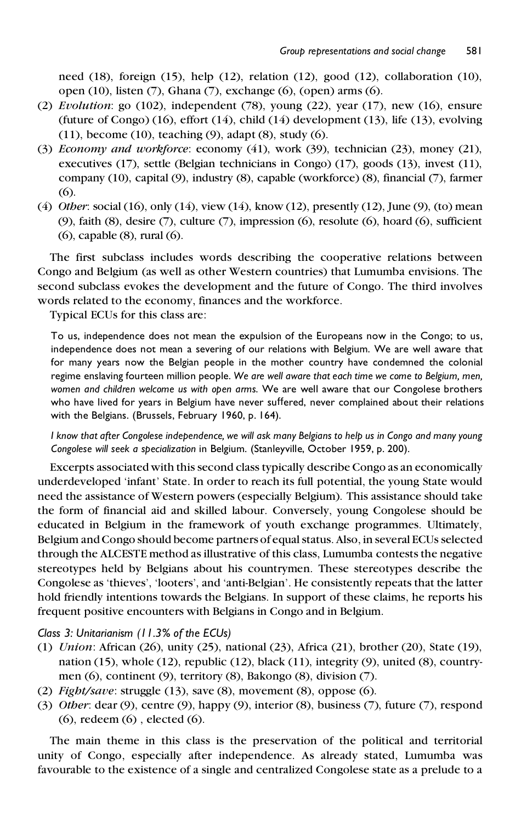need (18), foreign (15), help (12), relation (12), good (12), collaboration (10), open (10), listen (7), Ghana (7), exchange (6), (open) arms (6).

- (2) *Evolution*: go (102), independent (78), young (22), year (17), new (16), ensure (future of Congo) (16), effort (14), child (14) development (13), life (13), evolving (11), become (10), teaching (9), adapt (8), study (6).
- (3) *Economy and workforce*: economy (41), work (39), technician (23), money (21), executives (17), settle (Belgian technicians in Congo) (17), goods (13), invest (11), company (10), capital (9), industry (8), capable (workforce) (8), financial (7), farmer (6).
- (4) *Other*: social (16), only (14), view (14), know (12), presently (12), June (9), (to) mean (9), faith (8), desire (7), culture (7), impression (6), resolute (6), hoard (6), sufficient (6), capable (8), rural (6).

The first subclass includes words describing the cooperative relations between Congo and Belgium (as well as other Western countries) that Lumumba envisions. The second subclass evokes the development and the future of Congo. The third involves words related to the economy, finances and the workforce.

Typical ECUs for this class are:

To us, independence does not mean the expulsion of the Europeans now in the Congo; to us, independence does not mean a severing of our relations with Belgium. We are well aware that for many years now the Belgian people in the mother country have condemned the colonial regime enslaving fourteen million people. *We are well aware that each time we come to Belgium, men, women and children welcome us with open arms*. We are well aware that our Congolese brothers who have lived for years in Belgium have never suffered, never complained about their relations with the Belgians. (Brussels, February 1960, p. 164).

I know that after Congolese independence, we will ask many Belgians to help us in Congo and many young *Congolese will seek a specialization* in Belgium. (Stanleyville, October 1959, p. 200).

Excerpts associated with thissecond class typically describe Congo as an economically underdeveloped 'infant' State. In order to reach its full potential, the young State would need the assistance of Western powers (especially Belgium). This assistance should take the form of financial aid and skilled labour. Conversely, young Congolese should be educated in Belgium in the framework of youth exchange programmes. Ultimately, Belgium and Congo should become partners of equal status. Also, in several ECUs selected through the ALCESTE method as illustrative of this class, Lumumba contests the negative stereotypes held by Belgians about his countrymen. These stereotypes describe the Congolese as 'thieves', 'looters', and 'anti-Belgian'. He consistently repeats that the latter hold friendly intentions towards the Belgians. In support of these claims, he reports his frequent positive encounters with Belgians in Congo and in Belgium.

#### *Class 3: Unitarianism (11.3% of the ECUs)*

- (1) *Union*: African (26), unity (25), national (23), Africa (21), brother (20), State (19), nation (15), whole (12), republic (12), black (11), integrity (9), united (8), countrymen (6), continent (9), territory (8), Bakongo (8), division (7).
- (2) *Fight/save*: struggle (13), save (8), movement (8), oppose (6).
- (3) *Other*: dear (9), centre (9), happy (9), interior (8), business (7), future (7), respond (6), redeem (6), elected (6).

The main theme in this class is the preservation of the political and territorial unity of Congo, especially after independence. As already stated, Lumumba was favourable to the existence of a single and centralized Congolese state as a prelude to a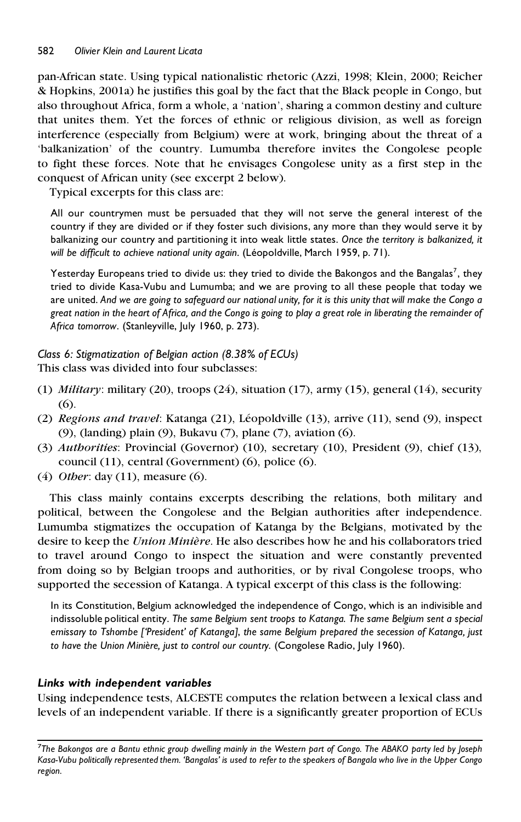pan-African state. Using typical nationalistic rhetoric (Azzi, 1998; Klein, 2000; Reicher & Hopkins, 2001a) he justifies this goal by the fact that the Black people in Congo, but also throughout Africa, form a whole, a 'nation', sharing a common destiny and culture that unites them. Yet the forces of ethnic or religious division, as well as foreign interference (especially from Belgium) were at work, bringing about the threat of a 'balkanization' of the country. Lumumba therefore invites the Congolese people to fight these forces. Note that he envisages Congolese unity as a first step in the conquest of African unity (see excerpt 2 below).

Typical excerpts for this class are:

All our countrymen must be persuaded that they will not serve the general interest of the country if they are divided or if they foster such divisions, any more than they would serve it by balkanizing our country and partitioning it into weak little states. *Once the territory is balkanized, it will be difficult to achieve national unity again*. (Le´opoldville, March 1959, p. 71).

Yesterday Europeans tried to divide us: they tried to divide the Bakongos and the Bangalas<sup>7</sup>, they tried to divide Kasa-Vubu and Lumumba; and we are proving to all these people that today we are united. And we are going to safeguard our national unity, for it is this unity that will make the Congo a great nation in the heart of Africa, and the Congo is going to play a great role in liberating the remainder of *Africa tomorrow*. (Stanleyville, July 1960, p. 273).

*Class 6: Stigmatization of Belgian action (8.38% of ECUs)* This class was divided into four subclasses:

- (1) *Military*: military (20), troops (24), situation (17), army (15), general (14), security (6).
- (2) *Regions and travel*: Katanga (21), Le´opoldville (13), arrive (11), send (9), inspect (9), (landing) plain (9), Bukavu (7), plane (7), aviation (6).
- (3) *Authorities*: Provincial (Governor) (10), secretary (10), President (9), chief (13), council (11), central (Government) (6), police (6).
- (4) *Other*: day (11), measure (6).

This class mainly contains excerpts describing the relations, both military and political, between the Congolese and the Belgian authorities after independence. Lumumba stigmatizes the occupation of Katanga by the Belgians, motivated by the desire to keep the *Union Minie`re*. He also describes how he and his collaborators tried to travel around Congo to inspect the situation and were constantly prevented from doing so by Belgian troops and authorities, or by rival Congolese troops, who supported the secession of Katanga. A typical excerpt of this class is the following:

In its Constitution, Belgium acknowledged the independence of Congo, which is an indivisible and indissoluble political entity. *The same Belgium sent troops to Katanga*. *The same Belgium sent a special emissary to Tshombe ['President' of Katanga]*, *the same Belgium prepared the secession of Katanga, just to have the Union Minie`re, just to control our country*. (Congolese Radio, July 1960).

## *Links with independent variables*

Using independence tests, ALCESTE computes the relation between a lexical class and levels of an independent variable. If there is a significantly greater proportion of ECUs

<sup>&</sup>lt;sup>7</sup>The Bakongos are a Bantu ethnic group dwelling mainly in the Western part of Congo. The ABAKO party led by Joseph Kasa-Vubu politically represented them. 'Bangalas' is used to refer to the speakers of Bangala who live in the Upper Congo *region.*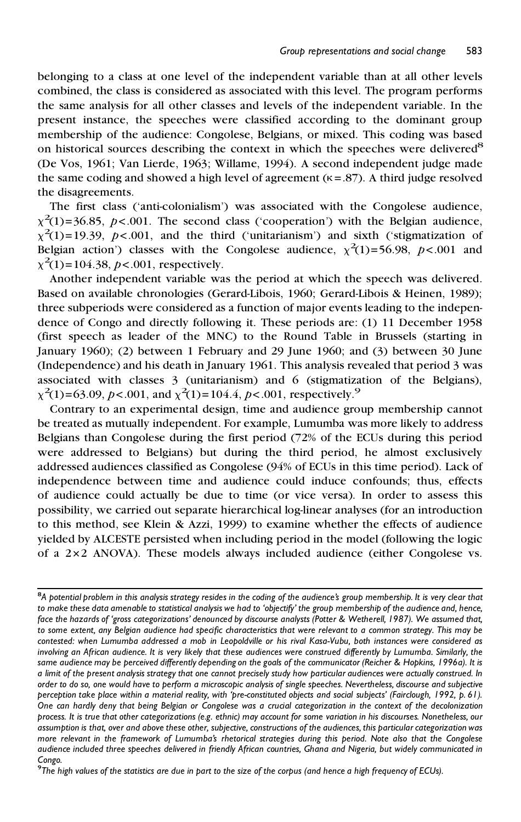belonging to a class at one level of the independent variable than at all other levels combined, the class is considered as associated with this level. The program performs the same analysis for all other classes and levels of the independent variable. In the present instance, the speeches were classified according to the dominant group membership of the audience: Congolese, Belgians, or mixed. This coding was based on historical sources describing the context in which the speeches were delivered<sup>8</sup> (De Vos, 1961; Van Lierde, 1963; Willame, 1994). A second independent judge made the same coding and showed a high level of agreement ( $\kappa$  = .87). A third judge resolved the disagreements.

The first class ('anti-colonialism') was associated with the Congolese audience,  $\chi^2(1)$ =36.85, *p*<.001. The second class ('cooperation') with the Belgian audience,  $\chi^2(1)$ =19.39,  $p$ <.001, and the third ('unitarianism') and sixth ('stigmatization of Belgian action') classes with the Congolese audience,  $\chi^2(1) = 56.98$ ,  $p < .001$  and  $\chi^2(1)$ =104.38, *p*<.001, respectively.

Another independent variable was the period at which the speech was delivered. Based on available chronologies (Gerard-Libois, 1960; Gerard-Libois & Heinen, 1989); three subperiods were considered as a function of major events leading to the independence of Congo and directly following it. These periods are: (1) 11 December 1958 (first speech as leader of the MNC) to the Round Table in Brussels (starting in January 1960); (2) between 1 February and 29 June 1960; and (3) between 30 June (Independence) and his death in January 1961. This analysis revealed that period 3 was associated with classes 3 (unitarianism) and 6 (stigmatization of the Belgians),  $\chi^2(1)$ =63.09, *p*<.001, and  $\chi^2(1)$ =104.4, *p*<.001, respectively.<sup>9</sup>

Contrary to an experimental design, time and audience group membership cannot be treated as mutually independent. For example, Lumumba was more likely to address Belgians than Congolese during the first period (72% of the ECUs during this period were addressed to Belgians) but during the third period, he almost exclusively addressed audiences classified as Congolese (94% of ECUs in this time period). Lack of independence between time and audience could induce confounds; thus, effects of audience could actually be due to time (or vice versa). In order to assess this possibility, we carried out separate hierarchical log-linear analyses (for an introduction to this method, see Klein & Azzi, 1999) to examine whether the effects of audience yielded by ALCESTE persisted when including period in the model (following the logic of a 2×2 ANOVA). These models always included audience (either Congolese vs.

<sup>&</sup>lt;sup>8</sup>A potential problem in this analysis strategy resides in the coding of the audience's group membership. It is very clear that to make these data amenable to statistical analysis we had to 'objectify' the group membership of the audience and, hence, face the hazards of 'gross categorizations' denounced by discourse analysts (Potter & Wetherell, 1987). We assumed that, to some extent, any Belgian audience had specific characteristics that were relevant to a common strategy. This may be contested: when Lumumba addressed a mob in Leopoldville or his rival Kasa-Vubu, both instances were considered as involving an African audience. It is very likely that these audiences were construed differently by Lumumba. Similarly, the same audience may be perceived differently depending on the goals of the communicator (Reicher & Hopkins, 1996a). It is a limit of the present analysis strategy that one cannot precisely study how particular audiences were actually construed. In order to do so, one would have to perform a microscopic analysis of single speeches. Nevertheless, discourse and subjective perception take place within a material reality, with 'pre-constituted objects and social subjects' (Fairclough, 1992, p. 61). One can hardly deny that being Belgian or Congolese was a crucial categorization in the context of the decolonization process. It is true that other categorizations (e.g. ethnic) may account for some variation in his discourses. Nonetheless, our assumption is that, over and above these other, subjective, constructions of the audiences, this particular categorization was more relevant in the framework of Lumumba's rhetorical strategies during this period. Note also that the Congolese audience included three speeches delivered in friendly African countries, Ghana and Nigeria, but widely communicated in

Congo.<br><sup>9</sup>The high values of the statistics are due in part to the size of the corpus (and hence a high frequency of ECUs).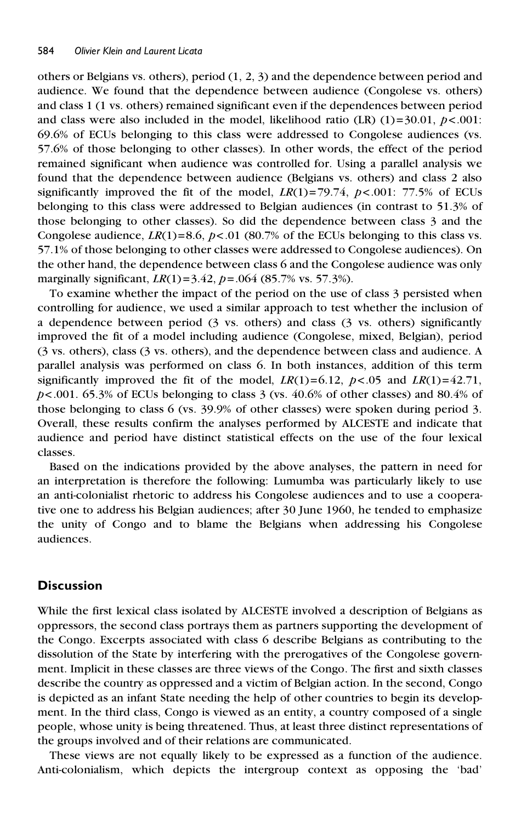others or Belgians vs. others), period (1, 2, 3) and the dependence between period and audience. We found that the dependence between audience (Congolese vs. others) and class 1 (1 vs. others) remained significant even if the dependences between period and class were also included in the model, likelihood ratio  $(LR)$   $(1)=30.01$ ,  $p<.001$ : 69.6% of ECUs belonging to this class were addressed to Congolese audiences (vs. 57.6% of those belonging to other classes). In other words, the effect of the period remained significant when audience was controlled for. Using a parallel analysis we found that the dependence between audience (Belgians vs. others) and class 2 also significantly improved the fit of the model,  $LR(1)=79.74$ ,  $p < .001$ : 77.5% of ECUs belonging to this class were addressed to Belgian audiences (in contrast to 51.3% of those belonging to other classes). So did the dependence between class 3 and the Congolese audience,  $LR(1)=8.6$ ,  $p<.01$  (80.7% of the ECUs belonging to this class vs. 57.1% of those belonging to other classes were addressed to Congolese audiences). On the other hand, the dependence between class 6 and the Congolese audience was only marginally significant, *LR*(1)=3.42, *p*=.064 (85.7% vs. 57.3%).

To examine whether the impact of the period on the use of class 3 persisted when controlling for audience, we used a similar approach to test whether the inclusion of a dependence between period (3 vs. others) and class (3 vs. others) significantly improved the fit of a model including audience (Congolese, mixed, Belgian), period (3 vs. others), class (3 vs. others), and the dependence between class and audience. A parallel analysis was performed on class 6. In both instances, addition of this term significantly improved the fit of the model,  $LR(1)=6.12$ ,  $p<.05$  and  $LR(1)=42.71$ ,  $p$ <.001. 65.3% of ECUs belonging to class 3 (vs.  $40.6\%$  of other classes) and 80.4% of those belonging to class 6 (vs.  $39.9\%$  of other classes) were spoken during period 3. Overall, these results confirm the analyses performed by ALCESTE and indicate that audience and period have distinct statistical effects on the use of the four lexical classes.

Based on the indications provided by the above analyses, the pattern in need for an interpretation is therefore the following: Lumumba was particularly likely to use an anti-colonialist rhetoric to address his Congolese audiences and to use a cooperative one to address his Belgian audiences; after 30 June 1960, he tended to emphasize the unity of Congo and to blame the Belgians when addressing his Congolese audiences.

## **Discussion**

While the first lexical class isolated by ALCESTE involved a description of Belgians as oppressors, the second class portrays them as partners supporting the development of the Congo. Excerpts associated with class 6 describe Belgians as contributing to the dissolution of the State by interfering with the prerogatives of the Congolese government. Implicit in these classes are three views of the Congo. The first and sixth classes describe the country as oppressed and a victim of Belgian action. In the second, Congo is depicted as an infant State needing the help of other countries to begin its development. In the third class, Congo is viewed as an entity, a country composed of a single people, whose unity is being threatened. Thus, at least three distinct representations of the groups involved and of their relations are communicated.

These views are not equally likely to be expressed as a function of the audience. Anti-colonialism, which depicts the intergroup context as opposing the 'bad'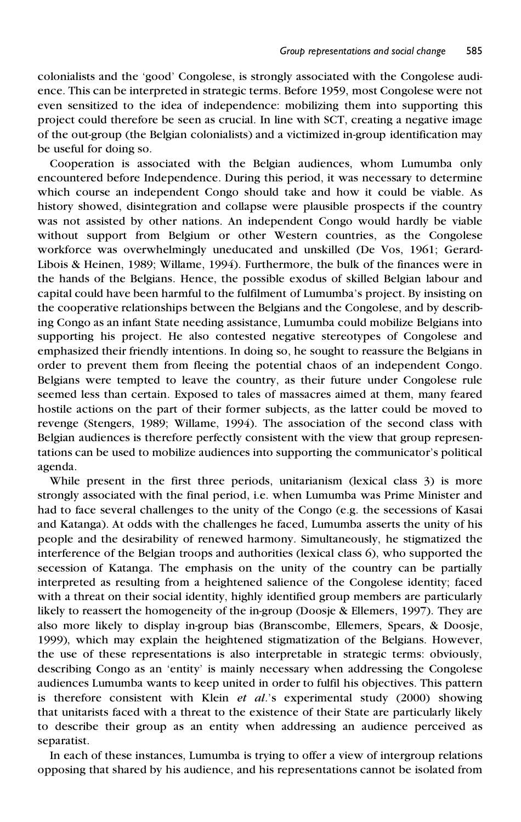colonialists and the 'good' Congolese, is strongly associated with the Congolese audience. This can be interpreted in strategic terms. Before 1959, most Congolese were not even sensitized to the idea of independence: mobilizing them into supporting this project could therefore be seen as crucial. In line with SCT, creating a negative image of the out-group (the Belgian colonialists) and a victimized in-group identification may be useful for doing so.

Cooperation is associated with the Belgian audiences, whom Lumumba only encountered before Independence. During this period, it was necessary to determine which course an independent Congo should take and how it could be viable. As history showed, disintegration and collapse were plausible prospects if the country was not assisted by other nations. An independent Congo would hardly be viable without support from Belgium or other Western countries, as the Congolese workforce was overwhelmingly uneducated and unskilled (De Vos, 1961; Gerard-Libois & Heinen, 1989; Willame, 1994). Furthermore, the bulk of the finances were in the hands of the Belgians. Hence, the possible exodus of skilled Belgian labour and capital could have been harmful to the fulfilment of Lumumba's project. By insisting on the cooperative relationships between the Belgians and the Congolese, and by describing Congo as an infant State needing assistance, Lumumba could mobilize Belgians into supporting his project. He also contested negative stereotypes of Congolese and emphasized their friendly intentions. In doing so, he sought to reassure the Belgians in order to prevent them from fleeing the potential chaos of an independent Congo. Belgians were tempted to leave the country, as their future under Congolese rule seemed less than certain. Exposed to tales of massacres aimed at them, many feared hostile actions on the part of their former subjects, as the latter could be moved to revenge (Stengers, 1989; Willame, 1994). The association of the second class with Belgian audiences is therefore perfectly consistent with the view that group representations can be used to mobilize audiences into supporting the communicator's political agenda.

While present in the first three periods, unitarianism (lexical class 3) is more strongly associated with the final period, i.e. when Lumumba was Prime Minister and had to face several challenges to the unity of the Congo (e.g. the secessions of Kasai and Katanga). At odds with the challenges he faced, Lumumba asserts the unity of his people and the desirability of renewed harmony. Simultaneously, he stigmatized the interference of the Belgian troops and authorities (lexical class 6), who supported the secession of Katanga. The emphasis on the unity of the country can be partially interpreted as resulting from a heightened salience of the Congolese identity; faced with a threat on their social identity, highly identified group members are particularly likely to reassert the homogeneity of the in-group (Doosje & Ellemers, 1997). They are also more likely to display in-group bias (Branscombe, Ellemers, Spears, & Doosje, 1999), which may explain the heightened stigmatization of the Belgians. However, the use of these representations is also interpretable in strategic terms: obviously, describing Congo as an 'entity' is mainly necessary when addressing the Congolese audiences Lumumba wants to keep united in order to fulfil his objectives. This pattern is therefore consistent with Klein *et al*.'s experimental study (2000) showing that unitarists faced with a threat to the existence of their State are particularly likely to describe their group as an entity when addressing an audience perceived as separatist.

In each of these instances, Lumumba is trying to offer a view of intergroup relations opposing that shared by his audience, and his representations cannot be isolated from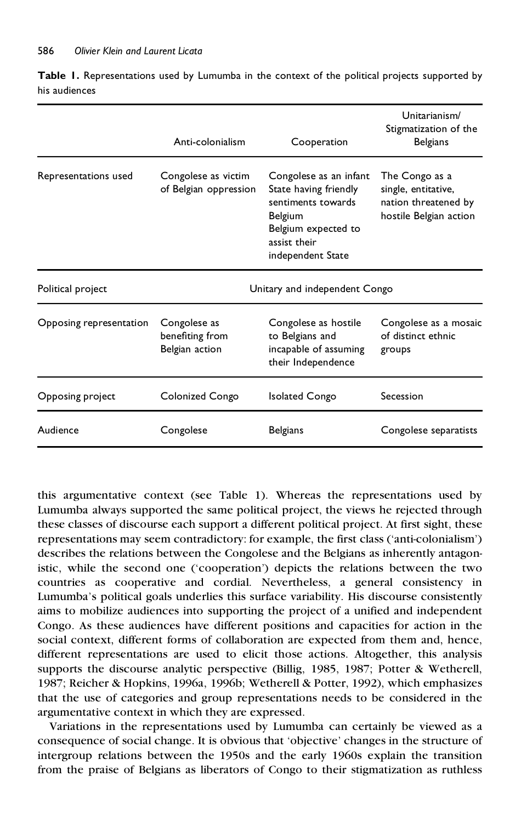|                         | Anti-colonialism                                  | Cooperation                                                                                                                                  | Unitarianism/<br>Stigmatization of the<br><b>Belgians</b>                               |
|-------------------------|---------------------------------------------------|----------------------------------------------------------------------------------------------------------------------------------------------|-----------------------------------------------------------------------------------------|
| Representations used    | Congolese as victim<br>of Belgian oppression      | Congolese as an infant<br>State having friendly<br>sentiments towards<br>Belgium<br>Belgium expected to<br>assist their<br>independent State | The Congo as a<br>single, entitative,<br>nation threatened by<br>hostile Belgian action |
| Political project       | Unitary and independent Congo                     |                                                                                                                                              |                                                                                         |
| Opposing representation | Congolese as<br>benefiting from<br>Belgian action | Congolese as hostile<br>to Belgians and<br>incapable of assuming<br>their Independence                                                       | Congolese as a mosaic<br>of distinct ethnic<br>groups                                   |
| Opposing project        | Colonized Congo                                   | <b>Isolated Congo</b>                                                                                                                        | Secession                                                                               |
| Audience                | Congolese                                         | Belgians                                                                                                                                     | Congolese separatists                                                                   |

**Table 1.** Representations used by Lumumba in the context of the political projects supported by his audiences

this argumentative context (see Table 1). Whereas the representations used by Lumumba always supported the same political project, the views he rejected through these classes of discourse each support a different political project. At first sight, these representations may seem contradictory: for example, the first class ('anti-colonialism') describes the relations between the Congolese and the Belgians as inherently antagonistic, while the second one ('cooperation') depicts the relations between the two countries as cooperative and cordial. Nevertheless, a general consistency in Lumumba's political goals underlies this surface variability. His discourse consistently aims to mobilize audiences into supporting the project of a unified and independent Congo. As these audiences have different positions and capacities for action in the social context, different forms of collaboration are expected from them and, hence, different representations are used to elicit those actions. Altogether, this analysis supports the discourse analytic perspective (Billig, 1985, 1987; Potter & Wetherell, 1987; Reicher & Hopkins, 1996a, 1996b; Wetherell & Potter, 1992), which emphasizes that the use of categories and group representations needs to be considered in the argumentative context in which they are expressed.

Variations in the representations used by Lumumba can certainly be viewed as a consequence of social change. It is obvious that 'objective' changes in the structure of intergroup relations between the 1950s and the early 1960s explain the transition from the praise of Belgians as liberators of Congo to their stigmatization as ruthless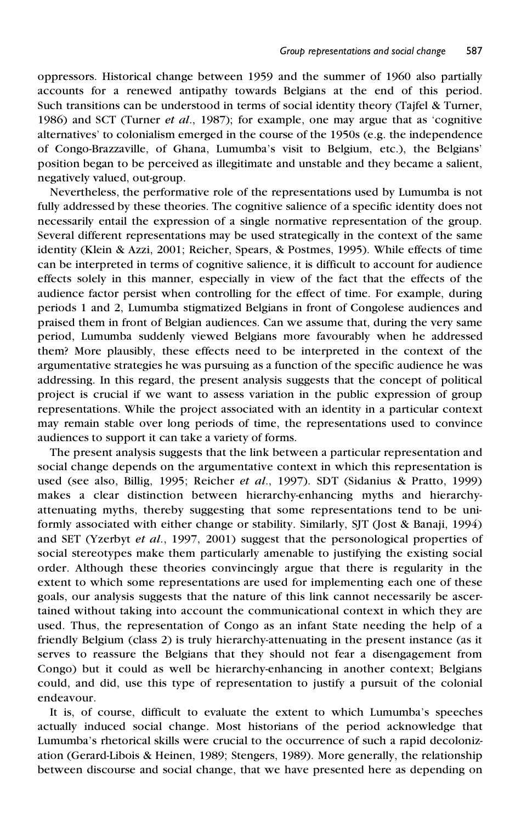oppressors. Historical change between 1959 and the summer of 1960 also partially accounts for a renewed antipathy towards Belgians at the end of this period. Such transitions can be understood in terms of social identity theory (Tajfel & Turner, 1986) and SCT (Turner *et al*., 1987); for example, one may argue that as 'cognitive alternatives' to colonialism emerged in the course of the 1950s (e.g. the independence of Congo-Brazzaville, of Ghana, Lumumba's visit to Belgium, etc.), the Belgians' position began to be perceived as illegitimate and unstable and they became a salient, negatively valued, out-group.

Nevertheless, the performative role of the representations used by Lumumba is not fully addressed by these theories. The cognitive salience of a specific identity does not necessarily entail the expression of a single normative representation of the group. Several different representations may be used strategically in the context of the same identity (Klein & Azzi, 2001; Reicher, Spears, & Postmes, 1995). While effects of time can be interpreted in terms of cognitive salience, it is difficult to account for audience effects solely in this manner, especially in view of the fact that the effects of the audience factor persist when controlling for the effect of time. For example, during periods 1 and 2, Lumumba stigmatized Belgians in front of Congolese audiences and praised them in front of Belgian audiences. Can we assume that, during the very same period, Lumumba suddenly viewed Belgians more favourably when he addressed them? More plausibly, these effects need to be interpreted in the context of the argumentative strategies he was pursuing as a function of the specific audience he was addressing. In this regard, the present analysis suggests that the concept of political project is crucial if we want to assess variation in the public expression of group representations. While the project associated with an identity in a particular context may remain stable over long periods of time, the representations used to convince audiences to support it can take a variety of forms.

The present analysis suggests that the link between a particular representation and social change depends on the argumentative context in which this representation is used (see also, Billig, 1995; Reicher *et al*., 1997). SDT (Sidanius & Pratto, 1999) makes a clear distinction between hierarchy-enhancing myths and hierarchyattenuating myths, thereby suggesting that some representations tend to be uniformly associated with either change or stability. Similarly, SJT (Jost & Banaji, 1994) and SET (Yzerbyt *et al*., 1997, 2001) suggest that the personological properties of social stereotypes make them particularly amenable to justifying the existing social order. Although these theories convincingly argue that there is regularity in the extent to which some representations are used for implementing each one of these goals, our analysis suggests that the nature of this link cannot necessarily be ascertained without taking into account the communicational context in which they are used. Thus, the representation of Congo as an infant State needing the help of a friendly Belgium (class 2) is truly hierarchy-attenuating in the present instance (as it serves to reassure the Belgians that they should not fear a disengagement from Congo) but it could as well be hierarchy-enhancing in another context; Belgians could, and did, use this type of representation to justify a pursuit of the colonial endeavour.

It is, of course, difficult to evaluate the extent to which Lumumba's speeches actually induced social change. Most historians of the period acknowledge that Lumumba's rhetorical skills were crucial to the occurrence of such a rapid decolonization (Gerard-Libois & Heinen, 1989; Stengers, 1989). More generally, the relationship between discourse and social change, that we have presented here as depending on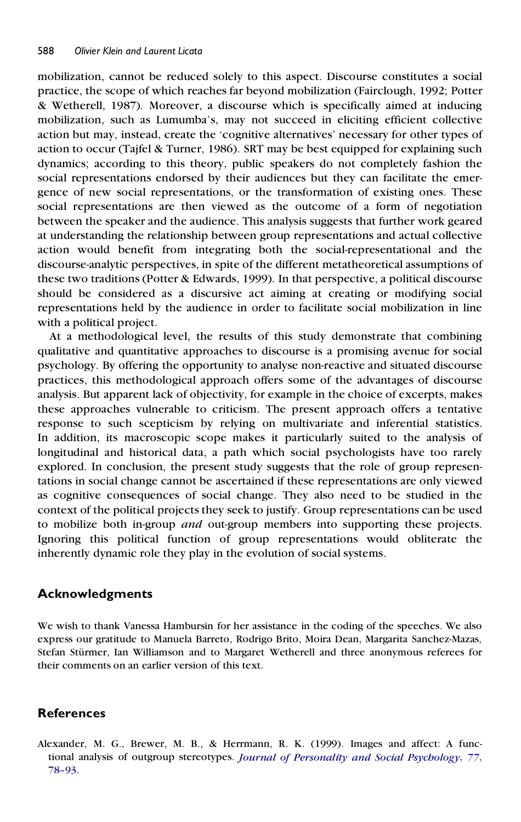mobilization, cannot be reduced solely to this aspect. Discourse constitutes a social practice, the scope of which reaches far beyond mobilization (Fairclough, 1992; Potter & Wetherell, 1987). Moreover, a discourse which is specifically aimed at inducing mobilization, such as Lumumba's, may not succeed in eliciting efficient collective action but may, instead, create the 'cognitive alternatives' necessary for other types of action to occur (Tajfel & Turner, 1986). SRT may be best equipped for explaining such dynamics; according to this theory, public speakers do not completely fashion the social representations endorsed by their audiences but they can facilitate the emergence of new social representations, or the transformation of existing ones. These social representations are then viewed as the outcome of a form of negotiation between the speaker and the audience. This analysis suggests that further work geared at understanding the relationship between group representations and actual collective action would benefit from integrating both the social-representational and the discourse-analytic perspectives, in spite of the different metatheoretical assumptions of these two traditions (Potter & Edwards, 1999). In that perspective, a political discourse should be considered as a discursive act aiming at creating or modifying social representations held by the audience in order to facilitate social mobilization in line with a political project.

At a methodological level, the results of this study demonstrate that combining qualitative and quantitative approaches to discourse is a promising avenue for social psychology. By offering the opportunity to analyse non-reactive and situated discourse practices, this methodological approach offers some of the advantages of discourse analysis. But apparent lack of objectivity, for example in the choice of excerpts, makes these approaches vulnerable to criticism. The present approach offers a tentative response to such scepticism by relying on multivariate and inferential statistics. In addition, its macroscopic scope makes it particularly suited to the analysis of longitudinal and historical data, a path which social psychologists have too rarely explored. In conclusion, the present study suggests that the role of group representations in social change cannot be ascertained if these representations are only viewed as cognitive consequences of social change. They also need to be studied in the context of the political projects they seek to justify. Group representations can be used to mobilize both in-group *and* out-group members into supporting these projects. Ignoring this political function of group representations would obliterate the inherently dynamic role they play in the evolution of social systems.

# **Acknowledgments**

We wish to thank Vanessa Hambursin for her assistance in the coding of the speeches. We also express our gratitude to Manuela Barreto, Rodrigo Brito, Moira Dean, Margarita Sanchez-Mazas, Stefan Stürmer, Ian Williamson and to Margaret Wetherell and three anonymous referees for their comments on an earlier version of this text.

# **References**

Alexander, M. G., Brewer, M. B., & Herrmann, R. K. (1999). Images and affect: A functional analysis of outgroup stereotypes. *Journal of [Personality](http://www.ingentaconnect.com/content/external-references?article=/0022-3514^28^2977L.78[aid=4180261]) and Social Psychology*, *77*, [78–93.](http://www.ingentaconnect.com/content/external-references?article=/0022-3514^28^2977L.78[aid=4180261])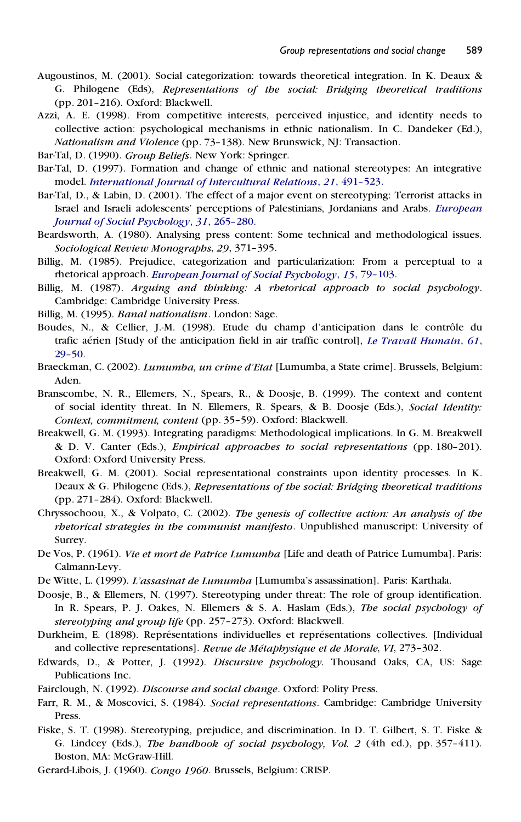- Augoustinos, M. (2001). Social categorization: towards theoretical integration. In K. Deaux & G. Philogene (Eds), *Representations of the social: Bridging theoretical traditions* (pp. 201–216). Oxford: Blackwell.
- Azzi, A. E. (1998). From competitive interests, perceived injustice, and identity needs to collective action: psychological mechanisms in ethnic nationalism. In C. Dandeker (Ed.), *Nationalism and Violence* (pp. 73–138). New Brunswick, NJ: Transaction.
- Bar-Tal, D. (1990). *Group Beliefs*. New York: Springer.
- Bar-Tal, D. (1997). Formation and change of ethnic and national stereotypes: An integrative model. *[International](http://www.ingentaconnect.com/content/external-references?article=/0147-1767^28^2921L.491[aid=4925979]) Journal of Intercultural Relations*, *21*, 491–523.
- Bar-Tal, D., & Labin, D. (2001). The effect of a major event on stereotyping: Terrorist attacks in Israel and Israeli adolescents' perceptions of Palestinians, Jordanians and Arabs. *[European](http://www.ingentaconnect.com/content/external-references?article=/0046-2772^28^2931L.265[aid=5414325]) Journal of Social [Psychology](http://www.ingentaconnect.com/content/external-references?article=/0046-2772^28^2931L.265[aid=5414325])*, *31*, 265–280.
- Beardsworth, A. (1980). Analysing press content: Some technical and methodological issues. *Sociological Review Monographs*, *29*, 371–395.
- Billig, M. (1985). Prejudice, categorization and particularization: From a perceptual to a rhetorical approach. *European Journal of Social [Psychology](http://www.ingentaconnect.com/content/external-references?article=/0046-2772^28^2915L.79[aid=17236])*, *15*, 79–103.
- Billig, M. (1987). *Arguing and thinking: A rhetorical approach to social psychology*. Cambridge: Cambridge University Press.
- Billig, M. (1995). *Banal nationalism*. London: Sage.
- Boudes, N., & Cellier, J.-M. (1998). Etude du champ d'anticipation dans le contrôle du trafic aérien [Study of the anticipation field in air traffic control], *Le Travail [Humain](http://www.ingentaconnect.com/content/external-references?article=/0041-1868^28^2961L.29[aid=5414327])*, 61, [29–50.](http://www.ingentaconnect.com/content/external-references?article=/0041-1868^28^2961L.29[aid=5414327])
- Braeckman, C. (2002). *Lumumba, un crime d'Etat* [Lumumba, a State crime]. Brussels, Belgium: Aden.
- Branscombe, N. R., Ellemers, N., Spears, R., & Doosje, B. (1999). The context and content of social identity threat. In N. Ellemers, R. Spears, & B. Doosje (Eds.), *Social Identity: Context, commitment, content* (pp. 35–59). Oxford: Blackwell.
- Breakwell, G. M. (1993). Integrating paradigms: Methodological implications. In G. M. Breakwell & D. V. Canter (Eds.), *Empirical approaches to social representations* (pp. 180–201). Oxford: Oxford University Press.
- Breakwell, G. M. (2001). Social representational constraints upon identity processes. In K. Deaux & G. Philogene (Eds.), *Representations of the social: Bridging theoretical traditions* (pp. 271–284). Oxford: Blackwell.
- Chryssochoou, X., & Volpato, C. (2002). *The genesis of collective action: An analysis of the rhetorical strategies in the communist manifesto*. Unpublished manuscript: University of Surrey.
- De Vos, P. (1961). *Vie et mort de Patrice Lumumba* [Life and death of Patrice Lumumba]. Paris: Calmann-Levy.
- De Witte, L. (1999). *L'assasinat de Lumumba* [Lumumba's assassination]. Paris: Karthala.
- Doosje, B., & Ellemers, N. (1997). Stereotyping under threat: The role of group identification. In R. Spears, P. J. Oakes, N. Ellemers & S. A. Haslam (Eds.), *The social psychology of stereotyping and group life* (pp. 257–273). Oxford: Blackwell.
- Durkheim, E. (1898). Représentations individuelles et représentations collectives. [Individual and collective representations]. *Revue de Me´taphysique et de Morale*, *VI*, 273–302.
- Edwards, D., & Potter, J. (1992). *Discursive psychology.* Thousand Oaks, CA, US: Sage Publications Inc.
- Fairclough, N. (1992). *Discourse and social change*. Oxford: Polity Press.
- Farr, R. M., & Moscovici, S. (1984). *Social representations*. Cambridge: Cambridge University Press.
- Fiske, S. T. (1998). Stereotyping, prejudice, and discrimination. In D. T. Gilbert, S. T. Fiske & G. Lindcey (Eds.), *The handbook of social psychology, Vol. 2* (4th ed.), pp. 357–411). Boston, MA: McGraw-Hill.
- Gerard-Libois, J. (1960). *Congo 1960*. Brussels, Belgium: CRISP.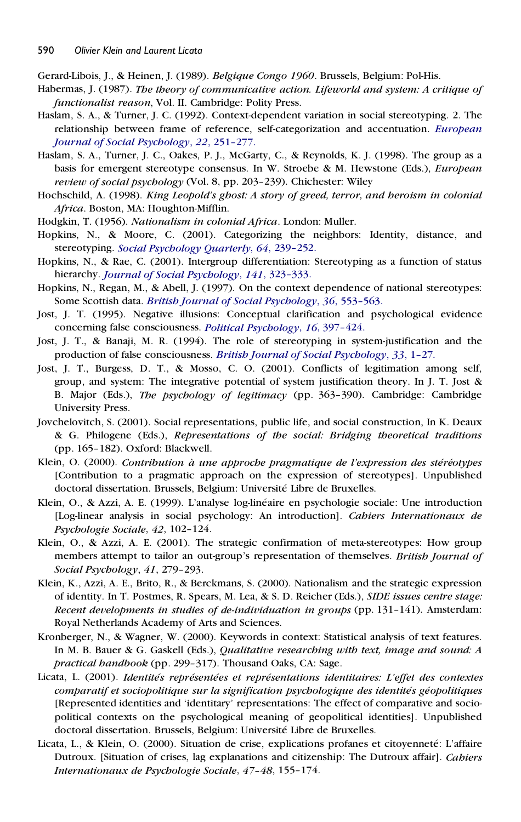Gerard-Libois, J., & Heinen, J. (1989). *Belgique Congo 1960*. Brussels, Belgium: Pol-His.

- Habermas, J. (1987). *The theory of communicative action. Lifeworld and system: A critique of functionalist reason*, Vol. II. Cambridge: Polity Press.
- Haslam, S. A., & Turner, J. C. (1992). Context-dependent variation in social stereotyping. 2. The relationship between frame of reference, self-categorization and accentuation. *[European](http://www.ingentaconnect.com/content/external-references?article=/0046-2772^28^2922L.251[aid=16391]) Journal of Social [Psychology](http://www.ingentaconnect.com/content/external-references?article=/0046-2772^28^2922L.251[aid=16391])*, *22*, 251–277.
- Haslam, S. A., Turner, J. C., Oakes, P. J., McGarty, C., & Reynolds, K. J. (1998). The group as a basis for emergent stereotype consensus. In W. Stroebe & M.Hewstone (Eds.), *European review of social psychology* (Vol. 8, pp. 203–239). Chichester: Wiley
- Hochschild, A. (1998). *King Leopold's ghost: A story of greed, terror, and heroism in colonial Africa*. Boston, MA: Houghton-Mifflin.
- Hodgkin, T. (1956). *Nationalism in colonial Africa*. London: Muller.
- Hopkins, N., & Moore, C. (2001). Categorizing the neighbors: Identity, distance, and stereotyping. *Social [Psychology](http://www.ingentaconnect.com/content/external-references?article=/0190-2725^28^2964L.239[aid=5414329]) Quarterly*, *64*, 239–252.
- Hopkins, N., & Rae, C. (2001). Intergroup differentiation: Stereotyping as a function of status hierarchy. *Journal of Social [Psychology](http://www.ingentaconnect.com/content/external-references?article=/0022-4545^28^29141L.323[aid=5414330])*, *141*, 323–333.
- Hopkins, N., Regan, M., & Abell, J. (1997). On the context dependence of national stereotypes: Some Scottish data. *British Journal of Social [Psychology](http://www.ingentaconnect.com/content/external-references?article=/0144-6665^28^2936L.553[aid=1268437])*, *36*, 553–563.
- Jost, J. T. (1995). Negative illusions: Conceptual clarification and psychological evidence concerning false consciousness. *Political [Psychology](http://www.ingentaconnect.com/content/external-references?article=/0162-895X^28^2916L.397[aid=137474])*, *16*, 397–424.
- Jost, J. T., & Banaji, M. R. (1994). The role of stereotyping in system-justification and the production of false consciousness. *British Journal of Social [Psychology](http://www.ingentaconnect.com/content/external-references?article=/0144-6665^28^2933L.1[aid=16770])*, *33*, 1–27.
- Jost, J. T., Burgess, D. T., & Mosso, C. O. (2001). Conflicts of legitimation among self, group, and system: The integrative potential of system justification theory. In J. T. Jost & B. Major (Eds.), *The psychology of legitimacy* (pp. 363–390). Cambridge: Cambridge University Press.
- Jovchelovitch, S. (2001). Social representations, public life, and social construction, In K. Deaux & G. Philogene (Eds.), *Representations of the social: Bridging theoretical traditions* (pp. 165–182). Oxford: Blackwell.
- Klein, O. (2000). *Contribution a` une approche pragmatique de l'expression des ste´re´otypes* [Contribution to a pragmatic approach on the expression of stereotypes]. Unpublished doctoral dissertation. Brussels, Belgium: Université Libre de Bruxelles.
- Klein, O., & Azzi, A. E. (1999). L'analyse log-line´aire en psychologie sociale: Une introduction [Log-linear analysis in social psychology: An introduction]. *Cahiers Internationaux de Psychologie Sociale*, *42*, 102–124.
- Klein, O., & Azzi, A. E. (2001). The strategic confirmation of meta-stereotypes: How group members attempt to tailor an out-group's representation of themselves. *British Journal of Social Psychology*, *41*, 279–293.
- Klein, K., Azzi, A. E., Brito, R., & Berckmans, S. (2000). Nationalism and the strategic expression of identity. In T. Postmes, R. Spears, M. Lea, & S. D. Reicher (Eds.), *SIDE issues centre stage: Recent developments in studies of de-individuation in groups* (pp. 131–141). Amsterdam: Royal Netherlands Academy of Arts and Sciences.
- Kronberger, N., & Wagner, W. (2000). Keywords in context: Statistical analysis of text features. In M. B. Bauer & G. Gaskell (Eds.), *Qualitative researching with text, image and sound: A practical handbook* (pp. 299–317). Thousand Oaks, CA: Sage.
- Licata, L. (2001). *Identite´s repre´sente´es et repre´sentations identitaires: L'effet des contextes comparatif et sociopolitique sur la signification psychologique des identite´s ge´opolitiques* [Represented identities and 'identitary' representations: The effect of comparative and sociopolitical contexts on the psychological meaning of geopolitical identities]. Unpublished doctoral dissertation. Brussels, Belgium: Université Libre de Bruxelles.
- Licata, L., & Klein, O. (2000). Situation de crise, explications profanes et citoyenneté: L'affaire Dutroux. [Situation of crises, lag explanations and citizenship: The Dutroux affair]. *Cahiers Internationaux de Psychologie Sociale*, *47–48*, 155–174.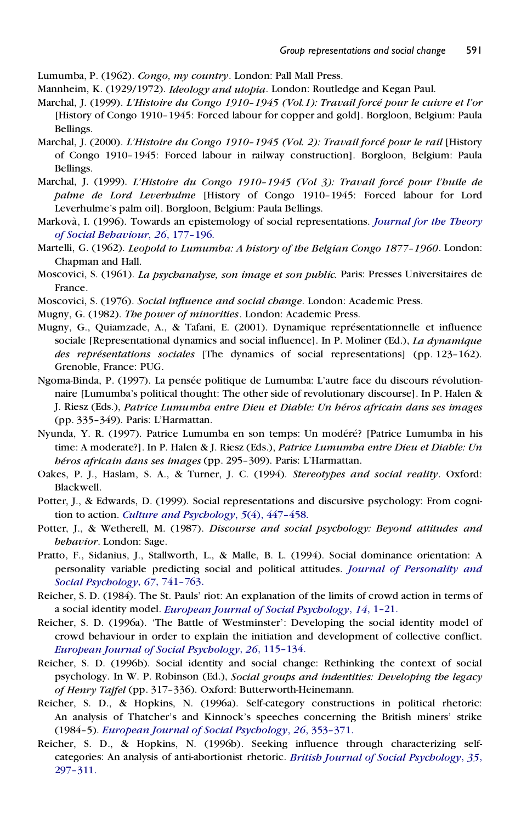Lumumba, P. (1962). *Congo, my country*. London: Pall Mall Press.

- Mannheim, K. (1929/1972). *Ideology and utopia*. London: Routledge and Kegan Paul.
- Marchal, J. (1999). *L'Histoire du Congo 1910–1945 (Vol.1): Travail force´ pour le cuivre et l'or* [History of Congo 1910–1945: Forced labour for copper and gold]. Borgloon, Belgium: Paula Bellings.
- Marchal, J. (2000). *L'Histoire du Congo 1910–1945 (Vol. 2): Travail force´ pour le rail* [History of Congo 1910–1945: Forced labour in railway construction]. Borgloon, Belgium: Paula Bellings.
- Marchal, J. (1999). *L'Histoire du Congo 1910–1945 (Vol 3): Travail force´ pour l'huile de palme de Lord Leverhulme* [History of Congo 1910–1945: Forced labour for Lord Leverhulme's palm oil]. Borgloon, Belgium: Paula Bellings.
- Markova`, I. (1996). Towards an epistemology of social representations. *[Journal](http://www.ingentaconnect.com/content/external-references?article=/0021-8308^28^2926L.177[aid=5414333]) for the Theory of Social [Behaviour](http://www.ingentaconnect.com/content/external-references?article=/0021-8308^28^2926L.177[aid=5414333])*, *26*, 177–196.
- Martelli, G. (1962). *Leopold to Lumumba: A history of the Belgian Congo 1877–1960*. London: Chapman and Hall.
- Moscovici, S. (1961). *La psychanalyse, son image et son public.* Paris: Presses Universitaires de France.
- Moscovici, S. (1976). *Social influence and social change*. London: Academic Press.
- Mugny, G. (1982). *The power of minorities*. London: Academic Press.
- Mugny, G., Quiamzade, A., & Tafani, E. (2001). Dynamique représentationnelle et influence sociale [Representational dynamics and social influence]. In P. Moliner (Ed.), *La dynamique des représentations sociales* [The dynamics of social representations] (pp. 123-162). Grenoble, France: PUG.
- Ngoma-Binda, P. (1997). La pensée politique de Lumumba: L'autre face du discours révolutionnaire [Lumumba's political thought: The other side of revolutionary discourse]. In P. Halen & J. Riesz (Eds.), *Patrice Lumumba entre Dieu et Diable: Un he´ros africain dans ses images* (pp. 335–349). Paris: L'Harmattan.
- Nyunda, Y. R. (1997). Patrice Lumumba en son temps: Un modéré? [Patrice Lumumba in his time: A moderate?]. In P. Halen & J. Riesz (Eds.), *Patrice Lumumba entre Dieu et Diable: Un he´ros africain dans ses images* (pp. 295–309). Paris: L'Harmattan.
- Oakes, P. J., Haslam, S. A., & Turner, J. C. (1994). *Stereotypes and social reality*. Oxford: Blackwell.
- Potter, J., & Edwards, D. (1999). Social representations and discursive psychology: From cognition to action. *Culture and [Psychology](http://www.ingentaconnect.com/content/external-references?article=/1354-067X^28^295:4L.447[aid=3264475])*, *5*(4), 447–458.
- Potter, J., & Wetherell, M. (1987). *Discourse and social psychology: Beyond attitudes and behavior*. London: Sage.
- Pratto, F., Sidanius, J., Stallworth, L., & Malle, B. L. (1994). Social dominance orientation: A personality variable predicting social and political attitudes. *Journal of [Personality](http://www.ingentaconnect.com/content/external-references?article=/0022-3514^28^2967L.741[aid=22288]) and Social [Psychology](http://www.ingentaconnect.com/content/external-references?article=/0022-3514^28^2967L.741[aid=22288])*, *67*, 741–763.
- Reicher, S. D. (1984). The St. Pauls' riot: An explanation of the limits of crowd action in terms of a social identity model. *European Journal of Social [Psychology](http://www.ingentaconnect.com/content/external-references?article=/0046-2772^28^2914L.1[aid=17233])*, *14*, 1–21.
- Reicher, S. D. (1996a). 'The Battle of Westminster': Developing the social identity model of crowd behaviour in order to explain the initiation and development of collective conflict. *European Journal of Social [Psychology](http://www.ingentaconnect.com/content/external-references?article=/0046-2772^28^2926L.115[aid=17234])*, *26*, 115–134.
- Reicher, S. D. (1996b). Social identity and social change: Rethinking the context of social psychology. In W. P. Robinson (Ed.), *Social groups and indentities: Developing the legacy of Henry Tajfel* (pp. 317–336). Oxford: Butterworth-Heinemann.
- Reicher, S. D., & Hopkins, N. (1996a). Self-category constructions in political rhetoric: An analysis of Thatcher's and Kinnock's speeches concerning the British miners' strike (1984–5). *European Journal of Social [Psychology](http://www.ingentaconnect.com/content/external-references?article=/0046-2772^28^2926L.353[aid=16875])*, *26*, 353–371.
- Reicher, S. D., & Hopkins, N. (1996b). Seeking influence through characterizing selfcategories: An analysis of anti-abortionist rhetoric. *British Journal of Social [Psychology](http://www.ingentaconnect.com/content/external-references?article=/0144-6665^28^2935L.297[aid=16633])*, *35*, [297–311.](http://www.ingentaconnect.com/content/external-references?article=/0144-6665^28^2935L.297[aid=16633])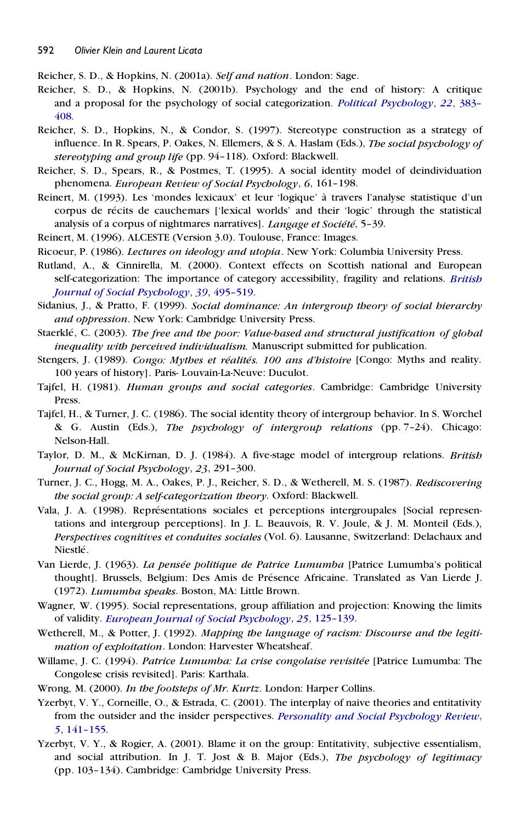Reicher, S. D., & Hopkins, N. (2001a). *Self and nation*. London: Sage.

- Reicher, S. D., & Hopkins, N. (2001b). Psychology and the end of history: A critique and a proposal for the psychology of social categorization. *Political [Psychology](http://www.ingentaconnect.com/content/external-references?article=/0162-895X^28^2922L.383[aid=5414335])*, *22*, 383– [408.](http://www.ingentaconnect.com/content/external-references?article=/0162-895X^28^2922L.383[aid=5414335])
- Reicher, S. D., Hopkins, N., & Condor, S. (1997). Stereotype construction as a strategy of influence. In R. Spears, P. Oakes, N. Ellemers, & S. A. Haslam (Eds.), *The social psychology of stereotyping and group life* (pp. 94–118). Oxford: Blackwell.
- Reicher, S. D., Spears, R., & Postmes, T. (1995). A social identity model of deindividuation phenomena. *European Review of Social Psychology*, *6*, 161–198.
- Reinert, M. (1993). Les 'mondes lexicaux' et leur 'logique' a` travers l'analyse statistique d'un corpus de récits de cauchemars ['lexical worlds' and their 'logic' through the statistical analysis of a corpus of nightmares narratives]. *Langage et Société*, 5-39.
- Reinert, M. (1996). ALCESTE (Version 3.0). Toulouse, France: Images.
- Ricoeur, P. (1986). *Lectures on ideology and utopia*. New York: Columbia University Press.
- Rutland, A., & Cinnirella, M. (2000). Context effects on Scottish national and European self-categorization: The importance of category accessibility, fragility and relations. *[British](http://www.ingentaconnect.com/content/external-references?article=/0144-6665^28^2939L.495[aid=5414336]) Journal of Social [Psychology](http://www.ingentaconnect.com/content/external-references?article=/0144-6665^28^2939L.495[aid=5414336])*, *39*, 495–519.
- Sidanius, J., & Pratto, F. (1999). *Social dominance: An intergroup theory of social hierarchy and oppression*. New York: Cambridge University Press.
- Staerkle´, C. (2003). *The free and the poor: Value-based and structural justification of global inequality with perceived individualism.* Manuscript submitted for publication.
- Stengers, J. (1989). *Congo: Mythes et re´alite´s. 100 ans d'histoire* [Congo: Myths and reality. 100 years of history]. Paris- Louvain-La-Neuve: Duculot.
- Tajfel, H. (1981). *Human groups and social categories*. Cambridge: Cambridge University Press.
- Tajfel, H., & Turner, J. C. (1986). The social identity theory of intergroup behavior. In S. Worchel & G. Austin (Eds.), *The psychology of intergroup relations* (pp. 7–24). Chicago: Nelson-Hall.
- Taylor, D. M., & McKirnan, D. J. (1984). A five-stage model of intergroup relations. *British Journal of Social Psychology*, *23*, 291–300.
- Turner, J. C., Hogg, M. A., Oakes, P. J., Reicher, S. D., & Wetherell, M. S. (1987). *Rediscovering the social group: A self-categorization theory*. Oxford: Blackwell.
- Vala, J. A. (1998). Représentations sociales et perceptions intergroupales [Social representations and intergroup perceptions]. In J.L. Beauvois, R. V. Joule, & J. M. Monteil (Eds.), *Perspectives cognitives et conduites sociales* (Vol. 6). Lausanne, Switzerland: Delachaux and Niestlé.
- Van Lierde, J. (1963). *La pense´e politique de Patrice Lumumba* [Patrice Lumumba's political thought]. Brussels, Belgium: Des Amis de Présence Africaine. Translated as Van Lierde J. (1972). *Lumumba speaks*. Boston, MA: Little Brown.
- Wagner, W. (1995). Social representations, group affiliation and projection: Knowing the limits of validity. *European Journal of Social [Psychology](http://www.ingentaconnect.com/content/external-references?article=/0046-2772^28^2925L.125[aid=3429742])*, *25*, 125–139.
- Wetherell, M., & Potter, J. (1992). *Mapping the language of racism: Discourse and the legitimation of exploitation*. London: Harvester Wheatsheaf.
- Willame, J. C. (1994). *Patrice Lumumba: La crise congolaise revisite´e* [Patrice Lumumba: The Congolese crisis revisited]. Paris: Karthala.
- Wrong, M. (2000). *In the footsteps of Mr. Kurtz*. London: Harper Collins.
- Yzerbyt, V. Y., Corneille, O., & Estrada, C. (2001). The interplay of naive theories and entitativity from the outsider and the insider perspectives. *[Personality](http://www.ingentaconnect.com/content/external-references?article=/1088-8683^28^295L.141[aid=5298273]) and Social Psychology Review*, *5*, [141–155.](http://www.ingentaconnect.com/content/external-references?article=/1088-8683^28^295L.141[aid=5298273])
- Yzerbyt, V. Y., & Rogier, A. (2001). Blame it on the group: Entitativity, subjective essentialism, and social attribution. In J. T. Jost & B.Major (Eds.), *The psychology of legitimacy* (pp. 103–134). Cambridge: Cambridge University Press.